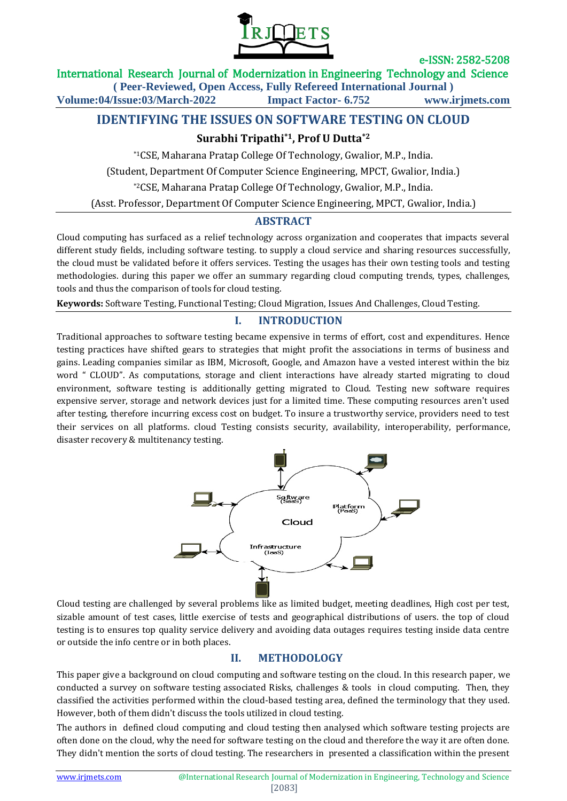

International Research Journal of Modernization in Engineering Technology and Science

**( Peer-Reviewed, Open Access, Fully Refereed International Journal )**

**Volume:04/Issue:03/March-2022 Impact Factor- 6.752 www.irjmets.com**

# **IDENTIFYING THE ISSUES ON SOFTWARE TESTING ON CLOUD**

# **Surabhi Tripathi\*1, Prof U Dutta\*2**

\*1CSE, Maharana Pratap College Of Technology, Gwalior, M.P., India. (Student, Department Of Computer Science Engineering, MPCT, Gwalior, India.) \*2CSE, Maharana Pratap College Of Technology, Gwalior, M.P., India. (Asst. Professor, Department Of Computer Science Engineering, MPCT, Gwalior, India.)

## **ABSTRACT**

Cloud computing has surfaced as a relief technology across organization and cooperates that impacts several different study fields, including software testing. to supply a cloud service and sharing resources successfully, the cloud must be validated before it offers services. Testing the usages has their own testing tools and testing methodologies. during this paper we offer an summary regarding cloud computing trends, types, challenges, tools and thus the comparison of tools for cloud testing.

**Keywords:** Software Testing, Functional Testing; Cloud Migration, Issues And Challenges, Cloud Testing.

## **I. INTRODUCTION**

Traditional approaches to software testing became expensive in terms of effort, cost and expenditures. Hence testing practices have shifted gears to strategies that might profit the associations in terms of business and gains. Leading companies similar as IBM, Microsoft, Google, and Amazon have a vested interest within the biz word " CLOUD". As computations, storage and client interactions have already started migrating to cloud environment, software testing is additionally getting migrated to Cloud. Testing new software requires expensive server, storage and network devices just for a limited time. These computing resources aren't used after testing, therefore incurring excess cost on budget. To insure a trustworthy service, providers need to test their services on all platforms. cloud Testing consists security, availability, interoperability, performance, disaster recovery & multitenancy testing.



Cloud testing are challenged by several problems like as limited budget, meeting deadlines, High cost per test, sizable amount of test cases, little exercise of tests and geographical distributions of users. the top of cloud testing is to ensures top quality service delivery and avoiding data outages requires testing inside data centre or outside the info centre or in both places.

## **II. METHODOLOGY**

This paper give a background on cloud computing and software testing on the cloud. In this research paper, we conducted a survey on software testing associated Risks, challenges & tools in cloud computing. Then, they classified the activities performed within the cloud-based testing area, defined the terminology that they used. However, both of them didn't discuss the tools utilized in cloud testing.

The authors in defined cloud computing and cloud testing then analysed which software testing projects are often done on the cloud, why the need for software testing on the cloud and therefore the way it are often done. They didn't mention the sorts of cloud testing. The researchers in presented a classification within the present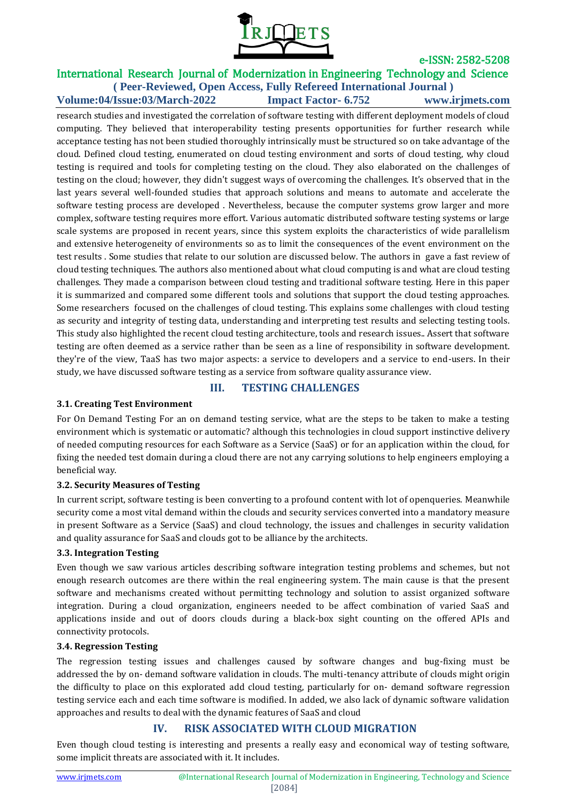

#### International Research Journal of Modernization in Engineering Technology and Science **( Peer-Reviewed, Open Access, Fully Refereed International Journal )**

**Volume:04/Issue:03/March-2022 Impact Factor- 6.752 www.irjmets.com**

research studies and investigated the correlation of software testing with different deployment models of cloud computing. They believed that interoperability testing presents opportunities for further research while acceptance testing has not been studied thoroughly intrinsically must be structured so on take advantage of the cloud. Defined cloud testing, enumerated on cloud testing environment and sorts of cloud testing, why cloud testing is required and tools for completing testing on the cloud. They also elaborated on the challenges of testing on the cloud; however, they didn't suggest ways of overcoming the challenges. It's observed that in the last years several well-founded studies that approach solutions and means to automate and accelerate the software testing process are developed . Nevertheless, because the computer systems grow larger and more complex, software testing requires more effort. Various automatic distributed software testing systems or large scale systems are proposed in recent years, since this system exploits the characteristics of wide parallelism and extensive heterogeneity of environments so as to limit the consequences of the event environment on the test results . Some studies that relate to our solution are discussed below. The authors in gave a fast review of cloud testing techniques. The authors also mentioned about what cloud computing is and what are cloud testing challenges. They made a comparison between cloud testing and traditional software testing. Here in this paper it is summarized and compared some different tools and solutions that support the cloud testing approaches. Some researchers focused on the challenges of cloud testing. This explains some challenges with cloud testing as security and integrity of testing data, understanding and interpreting test results and selecting testing tools. This study also highlighted the recent cloud testing architecture, tools and research issues.. Assert that software testing are often deemed as a service rather than be seen as a line of responsibility in software development. they're of the view, TaaS has two major aspects: a service to developers and a service to end-users. In their study, we have discussed software testing as a service from software quality assurance view.

#### **III. TESTING CHALLENGES**

#### **3.1. Creating Test Environment**

For On Demand Testing For an on demand testing service, what are the steps to be taken to make a testing environment which is systematic or automatic? although this technologies in cloud support instinctive delivery of needed computing resources for each Software as a Service (SaaS) or for an application within the cloud, for fixing the needed test domain during a cloud there are not any carrying solutions to help engineers employing a beneficial way.

#### **3.2. Security Measures of Testing**

In current script, software testing is been converting to a profound content with lot of openqueries. Meanwhile security come a most vital demand within the clouds and security services converted into a mandatory measure in present Software as a Service (SaaS) and cloud technology, the issues and challenges in security validation and quality assurance for SaaS and clouds got to be alliance by the architects.

## **3.3. Integration Testing**

Even though we saw various articles describing software integration testing problems and schemes, but not enough research outcomes are there within the real engineering system. The main cause is that the present software and mechanisms created without permitting technology and solution to assist organized software integration. During a cloud organization, engineers needed to be affect combination of varied SaaS and applications inside and out of doors clouds during a black-box sight counting on the offered APIs and connectivity protocols.

#### **3.4. Regression Testing**

The regression testing issues and challenges caused by software changes and bug-fixing must be addressed the by on- demand software validation in clouds. The multi-tenancy attribute of clouds might origin the difficulty to place on this explorated add cloud testing, particularly for on- demand software regression testing service each and each time software is modified. In added, we also lack of dynamic software validation approaches and results to deal with the dynamic features of SaaS and cloud

# **IV. RISK ASSOCIATED WITH CLOUD MIGRATION**

Even though cloud testing is interesting and presents a really easy and economical way of testing software, some implicit threats are associated with it. It includes.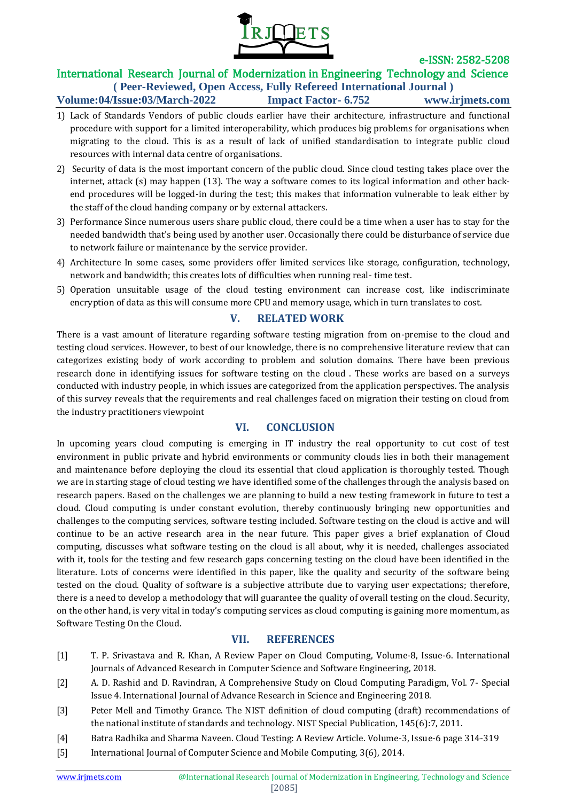

#### International Research Journal of Modernization in Engineering Technology and Science **( Peer-Reviewed, Open Access, Fully Refereed International Journal )**

**Volume:04/Issue:03/March-2022 Impact Factor- 6.752 www.irjmets.com**

- 1) Lack of Standards Vendors of public clouds earlier have their architecture, infrastructure and functional procedure with support for a limited interoperability, which produces big problems for organisations when migrating to the cloud. This is as a result of lack of unified standardisation to integrate public cloud resources with internal data centre of organisations.
- 2) Security of data is the most important concern of the public cloud. Since cloud testing takes place over the internet, attack (s) may happen (13). The way a software comes to its logical information and other backend procedures will be logged-in during the test; this makes that information vulnerable to leak either by the staff of the cloud handing company or by external attackers.
- 3) Performance Since numerous users share public cloud, there could be a time when a user has to stay for the needed bandwidth that's being used by another user. Occasionally there could be disturbance of service due to network failure or maintenance by the service provider.
- 4) Architecture In some cases, some providers offer limited services like storage, configuration, technology, network and bandwidth; this creates lots of difficulties when running real- time test.
- 5) Operation unsuitable usage of the cloud testing environment can increase cost, like indiscriminate encryption of data as this will consume more CPU and memory usage, which in turn translates to cost.

# **V. RELATED WORK**

There is a vast amount of literature regarding software testing migration from on-premise to the cloud and testing cloud services. However, to best of our knowledge, there is no comprehensive literature review that can categorizes existing body of work according to problem and solution domains. There have been previous research done in identifying issues for software testing on the cloud . These works are based on a surveys conducted with industry people, in which issues are categorized from the application perspectives. The analysis of this survey reveals that the requirements and real challenges faced on migration their testing on cloud from the industry practitioners viewpoint

# **VI. CONCLUSION**

In upcoming years cloud computing is emerging in IT industry the real opportunity to cut cost of test environment in public private and hybrid environments or community clouds lies in both their management and maintenance before deploying the cloud its essential that cloud application is thoroughly tested. Though we are in starting stage of cloud testing we have identified some of the challenges through the analysis based on research papers. Based on the challenges we are planning to build a new testing framework in future to test a cloud. Cloud computing is under constant evolution, thereby continuously bringing new opportunities and challenges to the computing services, software testing included. Software testing on the cloud is active and will continue to be an active research area in the near future. This paper gives a brief explanation of Cloud computing, discusses what software testing on the cloud is all about, why it is needed, challenges associated with it, tools for the testing and few research gaps concerning testing on the cloud have been identified in the literature. Lots of concerns were identified in this paper, like the quality and security of the software being tested on the cloud. Quality of software is a subjective attribute due to varying user expectations; therefore, there is a need to develop a methodology that will guarantee the quality of overall testing on the cloud. Security, on the other hand, is very vital in today's computing services as cloud computing is gaining more momentum, as Software Testing On the Cloud.

## **VII. REFERENCES**

- [1] T. P. Srivastava and R. Khan, A Review Paper on Cloud Computing, Volume-8, Issue-6. International Journals of Advanced Research in Computer Science and Software Engineering, 2018.
- [2] A. D. Rashid and D. Ravindran, A Comprehensive Study on Cloud Computing Paradigm, Vol. 7- Special Issue 4. International Journal of Advance Research in Science and Engineering 2018.
- [3] Peter Mell and Timothy Grance. The NIST definition of cloud computing (draft) recommendations of the national institute of standards and technology. NIST Special Publication, 145(6):7, 2011.
- [4] Batra Radhika and Sharma Naveen. Cloud Testing: A Review Article. Volume-3, Issue-6 page 314-319
- [5] International Journal of Computer Science and Mobile Computing, 3(6), 2014.